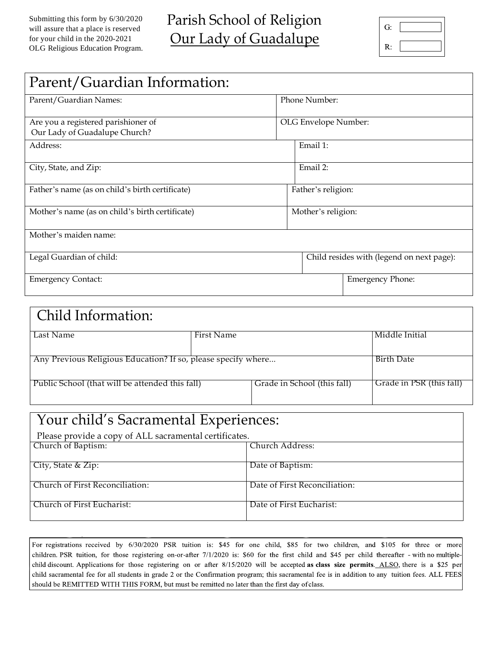| G: |  |
|----|--|
| R: |  |

| Parent/Guardian Information:                                         |                                           |  |  |  |  |
|----------------------------------------------------------------------|-------------------------------------------|--|--|--|--|
| Parent/Guardian Names:                                               | Phone Number:                             |  |  |  |  |
| Are you a registered parishioner of<br>Our Lady of Guadalupe Church? | OLG Envelope Number:                      |  |  |  |  |
| Address:                                                             | Email 1:                                  |  |  |  |  |
| City, State, and Zip:                                                | Email 2:                                  |  |  |  |  |
| Father's name (as on child's birth certificate)                      | Father's religion:                        |  |  |  |  |
| Mother's name (as on child's birth certificate)                      | Mother's religion:                        |  |  |  |  |
| Mother's maiden name:                                                |                                           |  |  |  |  |
| Legal Guardian of child:                                             | Child resides with (legend on next page): |  |  |  |  |
| <b>Emergency Contact:</b>                                            | <b>Emergency Phone:</b>                   |  |  |  |  |

| Child Information:                                            |            |                             |                          |  |  |
|---------------------------------------------------------------|------------|-----------------------------|--------------------------|--|--|
| Last Name                                                     | First Name |                             | Middle Initial           |  |  |
| Any Previous Religious Education? If so, please specify where |            |                             | Birth Date               |  |  |
| Public School (that will be attended this fall)               |            | Grade in School (this fall) | Grade in PSR (this fall) |  |  |

| Your child's Sacramental Experiences:                  |                               |  |  |  |
|--------------------------------------------------------|-------------------------------|--|--|--|
| Please provide a copy of ALL sacramental certificates. |                               |  |  |  |
| Church of Baptism:                                     | Church Address:               |  |  |  |
| City, State & Zip:                                     | Date of Baptism:              |  |  |  |
| Church of First Reconciliation:                        | Date of First Reconciliation: |  |  |  |
| Church of First Eucharist:                             | Date of First Eucharist:      |  |  |  |

For registrations received by 6/30/2020 PSR tuition is: \$45 for one child, \$85 for two children, and \$105 for three or more children. PSR tuition, for those registering on-or-after 7/1/2020 is: \$60 for the first child and \$45 per child thereafter - with no multiplechild discount. Applications for those registering on or after 8/15/2020 will be accepted as class size permits. ALSO, there is a \$25 per child sacramental fee for all students in grade 2 or the Confirmation program; this sacramental fee is in addition to any tuition fees. ALL FEES should be REMITTED WITH THIS FORM, but must be remitted no later than the first day of class.